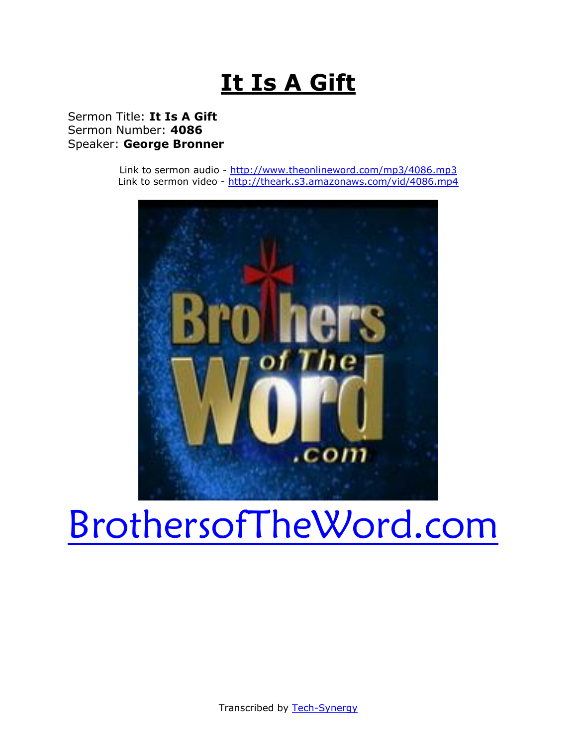# **It Is A Gift**

## Sermon Title: **It Is A Gift** Sermon Number: **4086** Speaker: **George Bronner**

Link to sermon audio - <http://www.theonlineword.com/mp3/4086.mp3> Link to sermon video - <http://theark.s3.amazonaws.com/vid/4086.mp4>



# [BrothersofTheWord.com](http://www.brothersoftheword.com/)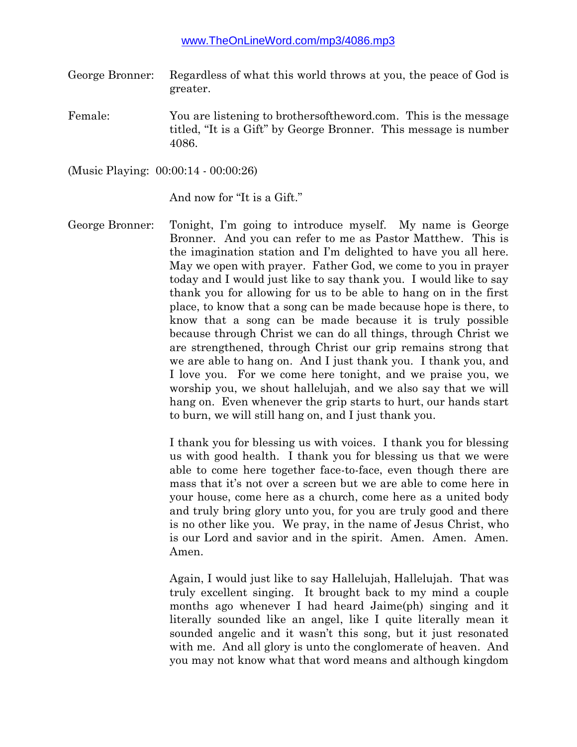- George Bronner: Regardless of what this world throws at you, the peace of God is greater.
- Female: You are listening to brothersoftheword.com. This is the message titled, "It is a Gift" by George Bronner. This message is number 4086.

(Music Playing: 00:00:14 - 00:00:26)

And now for "It is a Gift."

George Bronner: Tonight, I'm going to introduce myself. My name is George Bronner. And you can refer to me as Pastor Matthew. This is the imagination station and I'm delighted to have you all here. May we open with prayer. Father God, we come to you in prayer today and I would just like to say thank you. I would like to say thank you for allowing for us to be able to hang on in the first place, to know that a song can be made because hope is there, to know that a song can be made because it is truly possible because through Christ we can do all things, through Christ we are strengthened, through Christ our grip remains strong that we are able to hang on. And I just thank you. I thank you, and I love you. For we come here tonight, and we praise you, we worship you, we shout hallelujah, and we also say that we will hang on. Even whenever the grip starts to hurt, our hands start to burn, we will still hang on, and I just thank you.

> I thank you for blessing us with voices. I thank you for blessing us with good health. I thank you for blessing us that we were able to come here together face-to-face, even though there are mass that it's not over a screen but we are able to come here in your house, come here as a church, come here as a united body and truly bring glory unto you, for you are truly good and there is no other like you. We pray, in the name of Jesus Christ, who is our Lord and savior and in the spirit. Amen. Amen. Amen. Amen.

> Again, I would just like to say Hallelujah, Hallelujah. That was truly excellent singing. It brought back to my mind a couple months ago whenever I had heard Jaime(ph) singing and it literally sounded like an angel, like I quite literally mean it sounded angelic and it wasn't this song, but it just resonated with me. And all glory is unto the conglomerate of heaven. And you may not know what that word means and although kingdom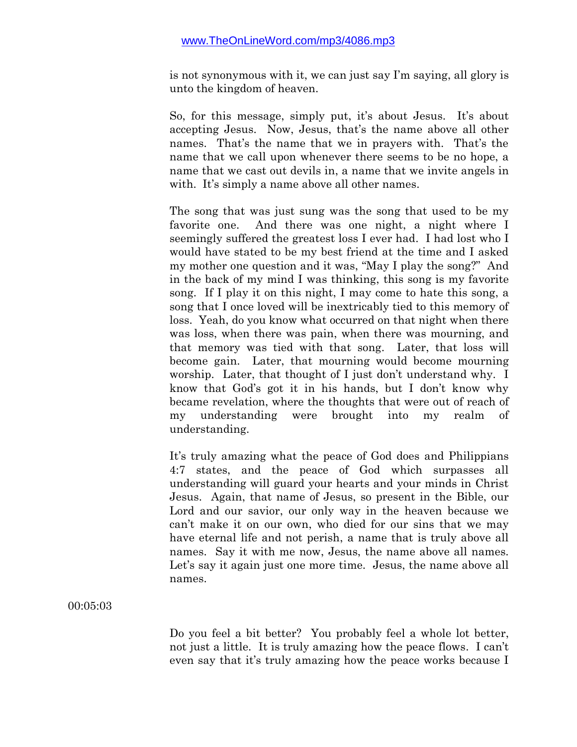is not synonymous with it, we can just say I'm saying, all glory is unto the kingdom of heaven.

So, for this message, simply put, it's about Jesus. It's about accepting Jesus. Now, Jesus, that's the name above all other names. That's the name that we in prayers with. That's the name that we call upon whenever there seems to be no hope, a name that we cast out devils in, a name that we invite angels in with. It's simply a name above all other names.

The song that was just sung was the song that used to be my favorite one. And there was one night, a night where I seemingly suffered the greatest loss I ever had. I had lost who I would have stated to be my best friend at the time and I asked my mother one question and it was, "May I play the song?" And in the back of my mind I was thinking, this song is my favorite song. If I play it on this night, I may come to hate this song, a song that I once loved will be inextricably tied to this memory of loss. Yeah, do you know what occurred on that night when there was loss, when there was pain, when there was mourning, and that memory was tied with that song. Later, that loss will become gain. Later, that mourning would become mourning worship. Later, that thought of I just don't understand why. I know that God's got it in his hands, but I don't know why became revelation, where the thoughts that were out of reach of my understanding were brought into my realm of understanding.

It's truly amazing what the peace of God does and Philippians 4:7 states, and the peace of God which surpasses all understanding will guard your hearts and your minds in Christ Jesus. Again, that name of Jesus, so present in the Bible, our Lord and our savior, our only way in the heaven because we can't make it on our own, who died for our sins that we may have eternal life and not perish, a name that is truly above all names. Say it with me now, Jesus, the name above all names. Let's say it again just one more time. Jesus, the name above all names.

00:05:03

Do you feel a bit better? You probably feel a whole lot better, not just a little. It is truly amazing how the peace flows. I can't even say that it's truly amazing how the peace works because I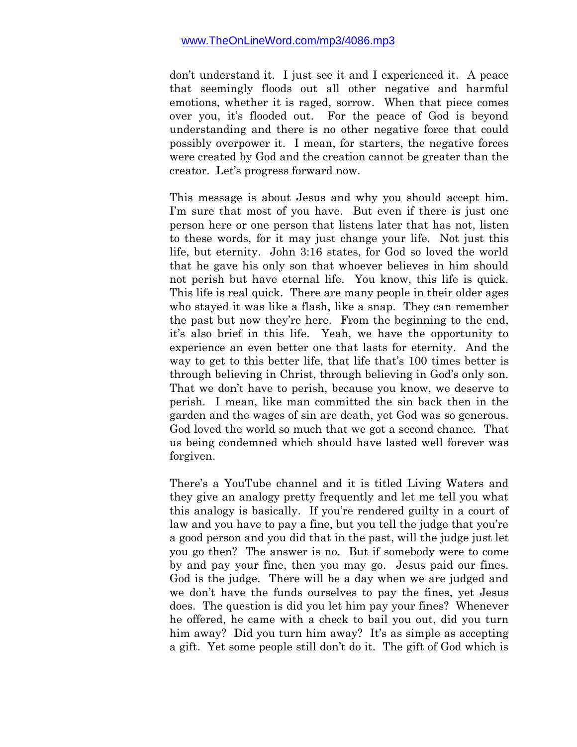don't understand it. I just see it and I experienced it. A peace that seemingly floods out all other negative and harmful emotions, whether it is raged, sorrow. When that piece comes over you, it's flooded out. For the peace of God is beyond understanding and there is no other negative force that could possibly overpower it. I mean, for starters, the negative forces were created by God and the creation cannot be greater than the creator. Let's progress forward now.

This message is about Jesus and why you should accept him. I'm sure that most of you have. But even if there is just one person here or one person that listens later that has not, listen to these words, for it may just change your life. Not just this life, but eternity. John 3:16 states, for God so loved the world that he gave his only son that whoever believes in him should not perish but have eternal life. You know, this life is quick. This life is real quick. There are many people in their older ages who stayed it was like a flash, like a snap. They can remember the past but now they're here. From the beginning to the end, it's also brief in this life. Yeah, we have the opportunity to experience an even better one that lasts for eternity. And the way to get to this better life, that life that's 100 times better is through believing in Christ, through believing in God's only son. That we don't have to perish, because you know, we deserve to perish. I mean, like man committed the sin back then in the garden and the wages of sin are death, yet God was so generous. God loved the world so much that we got a second chance. That us being condemned which should have lasted well forever was forgiven.

There's a YouTube channel and it is titled Living Waters and they give an analogy pretty frequently and let me tell you what this analogy is basically. If you're rendered guilty in a court of law and you have to pay a fine, but you tell the judge that you're a good person and you did that in the past, will the judge just let you go then? The answer is no. But if somebody were to come by and pay your fine, then you may go. Jesus paid our fines. God is the judge. There will be a day when we are judged and we don't have the funds ourselves to pay the fines, yet Jesus does. The question is did you let him pay your fines? Whenever he offered, he came with a check to bail you out, did you turn him away? Did you turn him away? It's as simple as accepting a gift. Yet some people still don't do it. The gift of God which is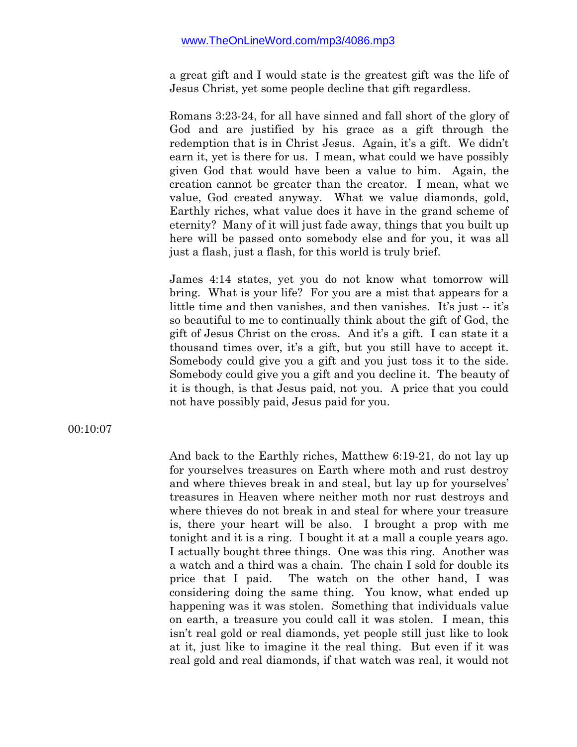a great gift and I would state is the greatest gift was the life of Jesus Christ, yet some people decline that gift regardless.

Romans 3:23-24, for all have sinned and fall short of the glory of God and are justified by his grace as a gift through the redemption that is in Christ Jesus. Again, it's a gift. We didn't earn it, yet is there for us. I mean, what could we have possibly given God that would have been a value to him. Again, the creation cannot be greater than the creator. I mean, what we value, God created anyway. What we value diamonds, gold, Earthly riches, what value does it have in the grand scheme of eternity? Many of it will just fade away, things that you built up here will be passed onto somebody else and for you, it was all just a flash, just a flash, for this world is truly brief.

James 4:14 states, yet you do not know what tomorrow will bring. What is your life? For you are a mist that appears for a little time and then vanishes, and then vanishes. It's just -- it's so beautiful to me to continually think about the gift of God, the gift of Jesus Christ on the cross. And it's a gift. I can state it a thousand times over, it's a gift, but you still have to accept it. Somebody could give you a gift and you just toss it to the side. Somebody could give you a gift and you decline it. The beauty of it is though, is that Jesus paid, not you. A price that you could not have possibly paid, Jesus paid for you.

00:10:07

And back to the Earthly riches, Matthew 6:19-21, do not lay up for yourselves treasures on Earth where moth and rust destroy and where thieves break in and steal, but lay up for yourselves' treasures in Heaven where neither moth nor rust destroys and where thieves do not break in and steal for where your treasure is, there your heart will be also. I brought a prop with me tonight and it is a ring. I bought it at a mall a couple years ago. I actually bought three things. One was this ring. Another was a watch and a third was a chain. The chain I sold for double its price that I paid. The watch on the other hand, I was considering doing the same thing. You know, what ended up happening was it was stolen. Something that individuals value on earth, a treasure you could call it was stolen. I mean, this isn't real gold or real diamonds, yet people still just like to look at it, just like to imagine it the real thing. But even if it was real gold and real diamonds, if that watch was real, it would not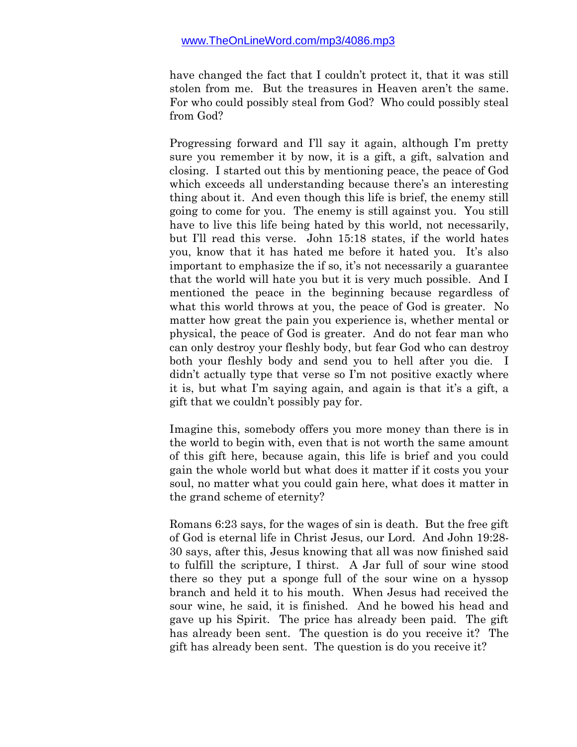have changed the fact that I couldn't protect it, that it was still stolen from me. But the treasures in Heaven aren't the same. For who could possibly steal from God? Who could possibly steal from God?

Progressing forward and I'll say it again, although I'm pretty sure you remember it by now, it is a gift, a gift, salvation and closing. I started out this by mentioning peace, the peace of God which exceeds all understanding because there's an interesting thing about it. And even though this life is brief, the enemy still going to come for you. The enemy is still against you. You still have to live this life being hated by this world, not necessarily, but I'll read this verse. John 15:18 states, if the world hates you, know that it has hated me before it hated you. It's also important to emphasize the if so, it's not necessarily a guarantee that the world will hate you but it is very much possible. And I mentioned the peace in the beginning because regardless of what this world throws at you, the peace of God is greater. No matter how great the pain you experience is, whether mental or physical, the peace of God is greater. And do not fear man who can only destroy your fleshly body, but fear God who can destroy both your fleshly body and send you to hell after you die. I didn't actually type that verse so I'm not positive exactly where it is, but what I'm saying again, and again is that it's a gift, a gift that we couldn't possibly pay for.

Imagine this, somebody offers you more money than there is in the world to begin with, even that is not worth the same amount of this gift here, because again, this life is brief and you could gain the whole world but what does it matter if it costs you your soul, no matter what you could gain here, what does it matter in the grand scheme of eternity?

Romans 6:23 says, for the wages of sin is death. But the free gift of God is eternal life in Christ Jesus, our Lord. And John 19:28- 30 says, after this, Jesus knowing that all was now finished said to fulfill the scripture, I thirst. A Jar full of sour wine stood there so they put a sponge full of the sour wine on a hyssop branch and held it to his mouth. When Jesus had received the sour wine, he said, it is finished. And he bowed his head and gave up his Spirit. The price has already been paid. The gift has already been sent. The question is do you receive it? The gift has already been sent. The question is do you receive it?